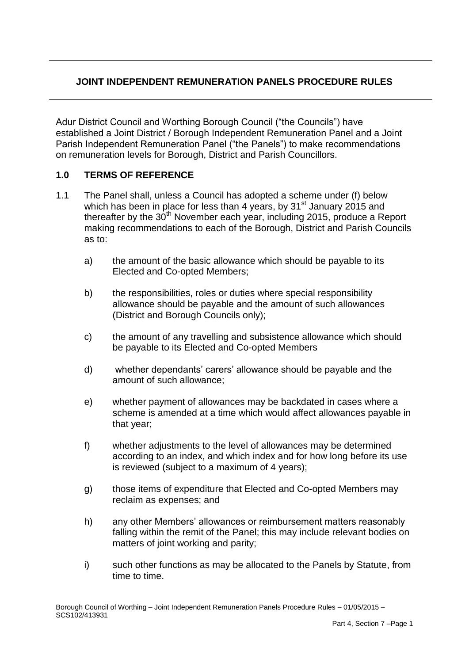# **JOINT INDEPENDENT REMUNERATION PANELS PROCEDURE RULES**

Adur District Council and Worthing Borough Council ("the Councils") have established a Joint District / Borough Independent Remuneration Panel and a Joint Parish Independent Remuneration Panel ("the Panels") to make recommendations on remuneration levels for Borough, District and Parish Councillors.

## **1.0 TERMS OF REFERENCE**

- 1.1 The Panel shall, unless a Council has adopted a scheme under (f) below which has been in place for less than 4 years, by  $31<sup>st</sup>$  January 2015 and thereafter by the  $30<sup>th</sup>$  November each year, including 2015, produce a Report making recommendations to each of the Borough, District and Parish Councils as to:
	- a) the amount of the basic allowance which should be payable to its Elected and Co-opted Members;
	- b) the responsibilities, roles or duties where special responsibility allowance should be payable and the amount of such allowances (District and Borough Councils only);
	- c) the amount of any travelling and subsistence allowance which should be payable to its Elected and Co-opted Members
	- d) whether dependants' carers' allowance should be payable and the amount of such allowance;
	- e) whether payment of allowances may be backdated in cases where a scheme is amended at a time which would affect allowances payable in that year;
	- f) whether adjustments to the level of allowances may be determined according to an index, and which index and for how long before its use is reviewed (subject to a maximum of 4 years);
	- g) those items of expenditure that Elected and Co-opted Members may reclaim as expenses; and
	- h) any other Members' allowances or reimbursement matters reasonably falling within the remit of the Panel; this may include relevant bodies on matters of joint working and parity;
	- i) such other functions as may be allocated to the Panels by Statute, from time to time.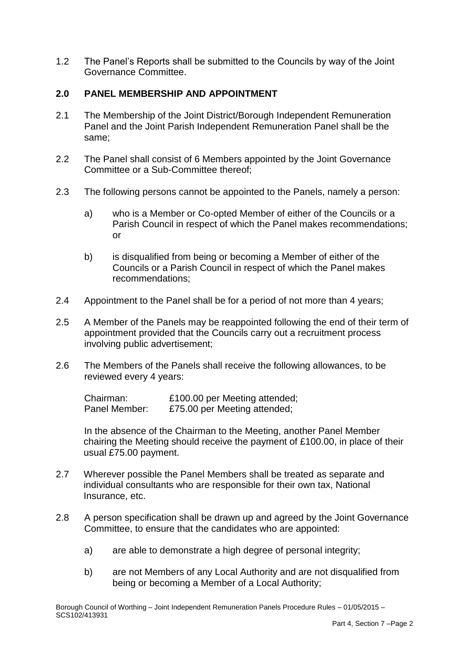1.2 The Panel's Reports shall be submitted to the Councils by way of the Joint Governance Committee.

## **2.0 PANEL MEMBERSHIP AND APPOINTMENT**

- 2.1 The Membership of the Joint District/Borough Independent Remuneration Panel and the Joint Parish Independent Remuneration Panel shall be the same;
- 2.2 The Panel shall consist of 6 Members appointed by the Joint Governance Committee or a Sub-Committee thereof;
- 2.3 The following persons cannot be appointed to the Panels, namely a person:
	- a) who is a Member or Co-opted Member of either of the Councils or a Parish Council in respect of which the Panel makes recommendations; or
	- b) is disqualified from being or becoming a Member of either of the Councils or a Parish Council in respect of which the Panel makes recommendations;
- 2.4 Appointment to the Panel shall be for a period of not more than 4 years;
- 2.5 A Member of the Panels may be reappointed following the end of their term of appointment provided that the Councils carry out a recruitment process involving public advertisement;
- 2.6 The Members of the Panels shall receive the following allowances, to be reviewed every 4 years:

Chairman: £100.00 per Meeting attended; Panel Member: £75.00 per Meeting attended;

In the absence of the Chairman to the Meeting, another Panel Member chairing the Meeting should receive the payment of £100.00, in place of their usual £75.00 payment.

- 2.7 Wherever possible the Panel Members shall be treated as separate and individual consultants who are responsible for their own tax, National Insurance, etc.
- 2.8 A person specification shall be drawn up and agreed by the Joint Governance Committee, to ensure that the candidates who are appointed:
	- a) are able to demonstrate a high degree of personal integrity;
	- b) are not Members of any Local Authority and are not disqualified from being or becoming a Member of a Local Authority;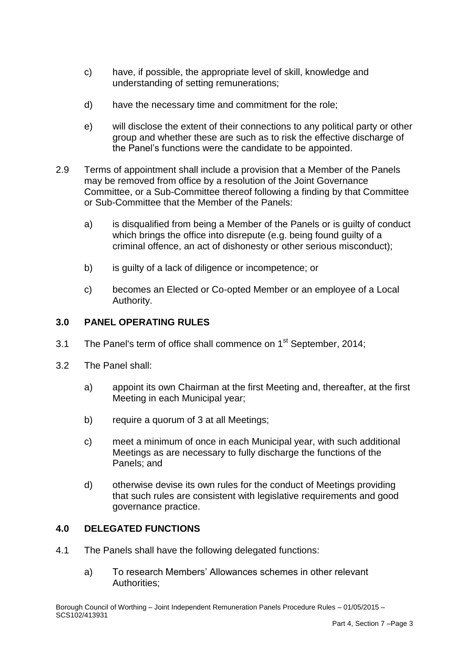- c) have, if possible, the appropriate level of skill, knowledge and understanding of setting remunerations;
- d) have the necessary time and commitment for the role;
- e) will disclose the extent of their connections to any political party or other group and whether these are such as to risk the effective discharge of the Panel's functions were the candidate to be appointed.
- 2.9 Terms of appointment shall include a provision that a Member of the Panels may be removed from office by a resolution of the Joint Governance Committee, or a Sub-Committee thereof following a finding by that Committee or Sub-Committee that the Member of the Panels:
	- a) is disqualified from being a Member of the Panels or is guilty of conduct which brings the office into disrepute (e.g. being found guilty of a criminal offence, an act of dishonesty or other serious misconduct);
	- b) is guilty of a lack of diligence or incompetence; or
	- c) becomes an Elected or Co-opted Member or an employee of a Local Authority.

## **3.0 PANEL OPERATING RULES**

- 3.1 The Panel's term of office shall commence on  $1<sup>st</sup>$  September, 2014;
- 3.2 The Panel shall:
	- a) appoint its own Chairman at the first Meeting and, thereafter, at the first Meeting in each Municipal year;
	- b) require a quorum of 3 at all Meetings;
	- c) meet a minimum of once in each Municipal year, with such additional Meetings as are necessary to fully discharge the functions of the Panels; and
	- d) otherwise devise its own rules for the conduct of Meetings providing that such rules are consistent with legislative requirements and good governance practice.

#### **4.0 DELEGATED FUNCTIONS**

- 4.1 The Panels shall have the following delegated functions:
	- a) To research Members' Allowances schemes in other relevant Authorities;